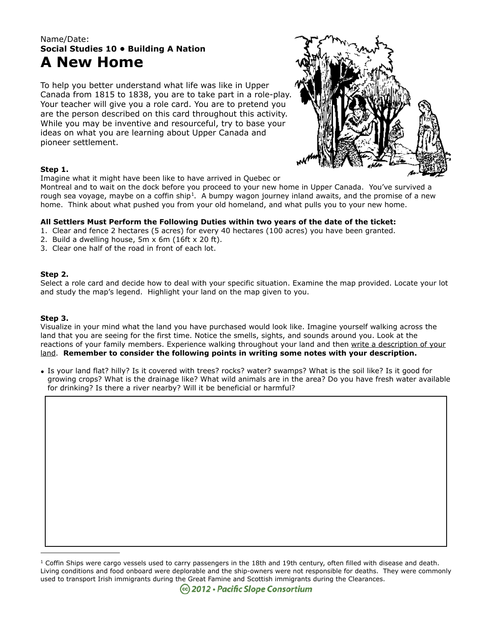# Name/Date: **Social Studies 10 • Building A Nation A New Home**

To help you better understand what life was like in Upper Canada from 1815 to 1838, you are to take part in a role-play. Your teacher will give you a role card. You are to pretend you are the person described on this card throughout this activity. While you may be inventive and resourceful, try to base your ideas on what you are learning about Upper Canada and pioneer settlement.



## **Step 1.**

Imagine what it might have been like to have arrived in Quebec or

Montreal and to wait on the dock before you proceed to your new home in Upper Canada. You've survived a rough sea voyage, maybe on a coffin ship<sup>[1](#page-0-0)</sup>. A bumpy wagon journey inland awaits, and the promise of a new home. Think about what pushed you from your old homeland, and what pulls you to your new home.

## **All Settlers Must Perform the Following Duties within two years of the date of the ticket:**

1. Clear and fence 2 hectares (5 acres) for every 40 hectares (100 acres) you have been granted.

- 2. Build a dwelling house, 5m x 6m (16ft x 20 ft).
- 3. Clear one half of the road in front of each lot.

### **Step 2.**

Select a role card and decide how to deal with your specific situation. Examine the map provided. Locate your lot and study the map's legend. Highlight your land on the map given to you.

### **Step 3.**

Visualize in your mind what the land you have purchased would look like. Imagine yourself walking across the land that you are seeing for the first time. Notice the smells, sights, and sounds around you. Look at the reactions of your family members. Experience walking throughout your land and then write a description of your land. **Remember to consider the following points in writing some notes with your description.**

• Is your land flat? hilly? Is it covered with trees? rocks? water? swamps? What is the soil like? Is it good for growing crops? What is the drainage like? What wild animals are in the area? Do you have fresh water available for drinking? Is there a river nearby? Will it be beneficial or harmful?

<span id="page-0-0"></span> $1$  Coffin Ships were cargo vessels used to carry passengers in the 18th and 19th century, often filled with disease and death. Living conditions and food onboard were deplorable and the ship-owners were not responsible for deaths. They were commonly used to transport Irish immigrants during the Great Famine and Scottish immigrants during the Clearances.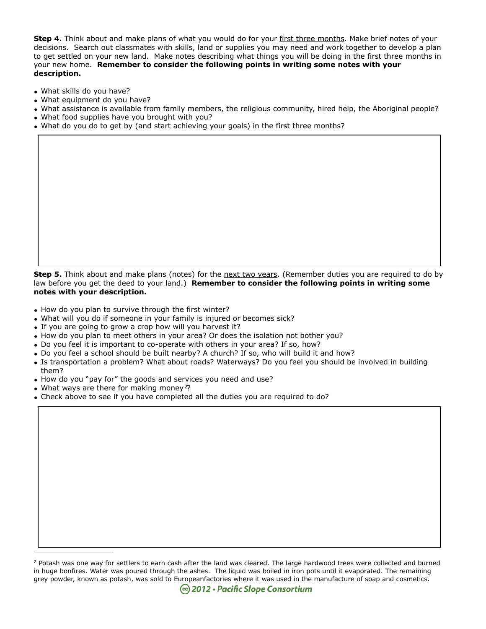**Step 4.** Think about and make plans of what you would do for your first three months. Make brief notes of your decisions. Search out classmates with skills, land or supplies you may need and work together to develop a plan to get settled on your new land. Make notes describing what things you will be doing in the first three months in your new home. **Remember to consider the following points in writing some notes with your description.**

- What skills do you have?
- What equipment do you have?
- What assistance is available from family members, the religious community, hired help, the Aboriginal people?
- What food supplies have you brought with you?
- What do you do to get by (and start achieving your goals) in the first three months?

**Step 5.** Think about and make plans (notes) for the next two years. (Remember duties you are required to do by law before you get the deed to your land.) **Remember to consider the following points in writing some notes with your description.**

- How do you plan to survive through the first winter?
- What will you do if someone in your family is injured or becomes sick?
- If you are going to grow a crop how will you harvest it?
- How do you plan to meet others in your area? Or does the isolation not bother you?
- Do you feel it is important to co-operate with others in your area? If so, how?
- Do you feel a school should be built nearby? A church? If so, who will build it and how?
- Is transportation a problem? What about roads? Waterways? Do you feel you should be involved in building them?
- How do you "pay for" the goods and services you need and use?
- What ways are there for making money<sup>[2](#page-1-0)</sup>?
- Check above to see if you have completed all the duties you are required to do?

<span id="page-1-0"></span><sup>&</sup>lt;sup>2</sup> Potash was one way for settlers to earn cash after the land was cleared. The large hardwood trees were collected and burned in huge bonfires. Water was poured through the ashes. The liquid was boiled in iron pots until it evaporated. The remaining grey powder, known as potash, was sold to Europeanfactories where it was used in the manufacture of soap and cosmetics.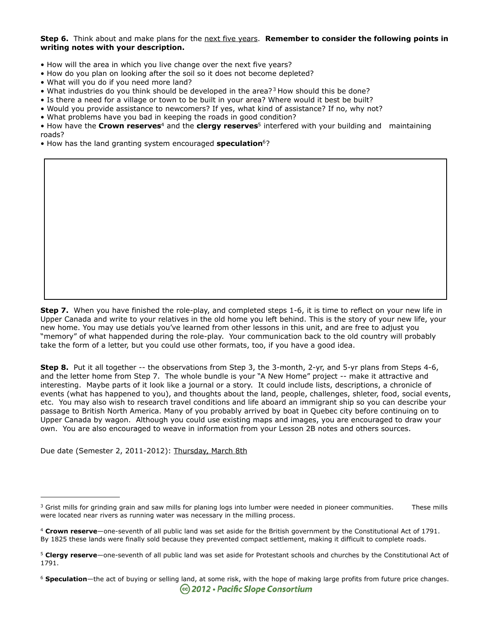#### **Step 6.** Think about and make plans for the next five years. **Remember to consider the following points in writing notes with your description.**

- How will the area in which you live change over the next five years?
- How do you plan on looking after the soil so it does not become depleted?
- What will you do if you need more land?
- What industries do you think should be developed in the area?<sup>[3](#page-2-0)</sup> How should this be done?
- Is there a need for a village or town to be built in your area? Where would it best be built?
- Would you provide assistance to newcomers? If yes, what kind of assistance? If no, why not?
- What problems have you bad in keeping the roads in good condition?

• How have the **Crown reserves**[4](#page-2-1) and the **clergy reserves**[5](#page-2-2) interfered with your building and maintaining roads?

• How has the land granting system encouraged **speculation**[6](#page-2-3)?

**Step 7.** When you have finished the role-play, and completed steps 1-6, it is time to reflect on your new life in Upper Canada and write to your relatives in the old home you left behind. This is the story of your new life, your new home. You may use detials you've learned from other lessons in this unit, and are free to adjust you "memory" of what happended during the role-play. Your communication back to the old country will probably take the form of a letter, but you could use other formats, too, if you have a good idea.

**Step 8.** Put it all together -- the observations from Step 3, the 3-month, 2-yr, and 5-yr plans from Steps 4-6, and the letter home from Step 7. The whole bundle is your "A New Home" project -- make it attractive and interesting. Maybe parts of it look like a journal or a story. It could include lists, descriptions, a chronicle of events (what has happened to you), and thoughts about the land, people, challenges, shleter, food, social events, etc. You may also wish to research travel conditions and life aboard an immigrant ship so you can describe your passage to British North America. Many of you probably arrived by boat in Quebec city before continuing on to Upper Canada by wagon. Although you could use existing maps and images, you are encouraged to draw your own. You are also encouraged to weave in information from your Lesson 2B notes and others sources.

Due date (Semester 2, 2011-2012): Thursday, March 8th

<span id="page-2-0"></span> $3$  Grist mills for grinding grain and saw mills for planing logs into lumber were needed in pioneer communities. These mills were located near rivers as running water was necessary in the milling process.

<span id="page-2-1"></span><sup>4</sup> **Crown reserve**—one-seventh of all public land was set aside for the British government by the Constitutional Act of 1791. By 1825 these lands were finally sold because they prevented compact settlement, making it difficult to complete roads.

<span id="page-2-2"></span><sup>5</sup> **Clergy reserve**—one-seventh of all public land was set aside for Protestant schools and churches by the Constitutional Act of 1791.

<span id="page-2-3"></span><sup>6</sup> **Speculation**—the act of buying or selling land, at some risk, with the hope of making large profits from future price changes.**© 2012 • Pacific Slope Consortium**